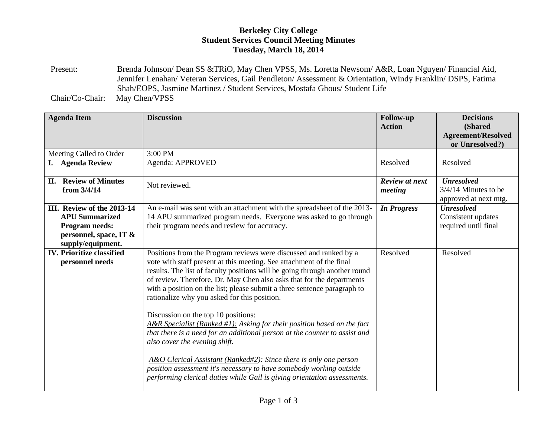## **Berkeley City College Student Services Council Meeting Minutes Tuesday, March 18, 2014**

Present: Brenda Johnson/ Dean SS &TRiO, May Chen VPSS, Ms. Loretta Newsom/ A&R, Loan Nguyen/ Financial Aid, Jennifer Lenahan/ Veteran Services, Gail Pendleton/ Assessment & Orientation, Windy Franklin/ DSPS, Fatima Shah/EOPS, Jasmine Martinez / Student Services, Mostafa Ghous/ Student Life

Chair/Co-Chair: May Chen/VPSS

| <b>Agenda Item</b>                                  | <b>Discussion</b>                                                                                                                                                                                                                                                                                                                                                                                                                                                                                                                                                                                                                                                                                                                                                                                                                                                                        | <b>Follow-up</b><br><b>Action</b> | <b>Decisions</b><br>(Shared<br><b>Agreement/Resolved</b>             |
|-----------------------------------------------------|------------------------------------------------------------------------------------------------------------------------------------------------------------------------------------------------------------------------------------------------------------------------------------------------------------------------------------------------------------------------------------------------------------------------------------------------------------------------------------------------------------------------------------------------------------------------------------------------------------------------------------------------------------------------------------------------------------------------------------------------------------------------------------------------------------------------------------------------------------------------------------------|-----------------------------------|----------------------------------------------------------------------|
|                                                     |                                                                                                                                                                                                                                                                                                                                                                                                                                                                                                                                                                                                                                                                                                                                                                                                                                                                                          |                                   | or Unresolved?)                                                      |
| Meeting Called to Order                             | 3:00 PM                                                                                                                                                                                                                                                                                                                                                                                                                                                                                                                                                                                                                                                                                                                                                                                                                                                                                  |                                   |                                                                      |
| I.<br><b>Agenda Review</b>                          | Agenda: APPROVED                                                                                                                                                                                                                                                                                                                                                                                                                                                                                                                                                                                                                                                                                                                                                                                                                                                                         | Resolved                          | Resolved                                                             |
| <b>II.</b> Review of Minutes<br>from 3/4/14         | Not reviewed.                                                                                                                                                                                                                                                                                                                                                                                                                                                                                                                                                                                                                                                                                                                                                                                                                                                                            | Review at next<br>meeting         | <b>Unresolved</b><br>$3/4/14$ Minutes to be<br>approved at next mtg. |
| III. Review of the 2013-14                          | An e-mail was sent with an attachment with the spreadsheet of the 2013-                                                                                                                                                                                                                                                                                                                                                                                                                                                                                                                                                                                                                                                                                                                                                                                                                  | <b>In Progress</b>                | <b>Unresolved</b>                                                    |
| <b>APU Summarized</b>                               | 14 APU summarized program needs. Everyone was asked to go through                                                                                                                                                                                                                                                                                                                                                                                                                                                                                                                                                                                                                                                                                                                                                                                                                        |                                   | Consistent updates                                                   |
| Program needs:                                      | their program needs and review for accuracy.                                                                                                                                                                                                                                                                                                                                                                                                                                                                                                                                                                                                                                                                                                                                                                                                                                             |                                   | required until final                                                 |
| personnel, space, IT &<br>supply/equipment.         |                                                                                                                                                                                                                                                                                                                                                                                                                                                                                                                                                                                                                                                                                                                                                                                                                                                                                          |                                   |                                                                      |
| <b>IV. Prioritize classified</b><br>personnel needs | Positions from the Program reviews were discussed and ranked by a<br>vote with staff present at this meeting. See attachment of the final<br>results. The list of faculty positions will be going through another round<br>of review. Therefore, Dr. May Chen also asks that for the departments<br>with a position on the list; please submit a three sentence paragraph to<br>rationalize why you asked for this position.<br>Discussion on the top 10 positions:<br>$A\&R$ Specialist (Ranked #1): Asking for their position based on the fact<br>that there is a need for an additional person at the counter to assist and<br>also cover the evening shift.<br>A&O Clerical Assistant (Ranked#2): Since there is only one person<br>position assessment it's necessary to have somebody working outside<br>performing clerical duties while Gail is giving orientation assessments. | Resolved                          | Resolved                                                             |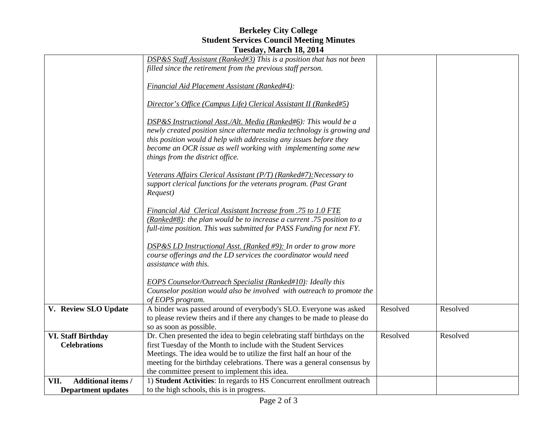## **Berkeley City College Student Services Council Meeting Minutes Tuesday, March 18, 2014**

|                                   | $1.400$ and $1.401$ and $1.40$ , $1.401$                                                                                                      |          |          |
|-----------------------------------|-----------------------------------------------------------------------------------------------------------------------------------------------|----------|----------|
|                                   | DSP&S Staff Assistant (Ranked#3) This is a position that has not been<br>filled since the retirement from the previous staff person.          |          |          |
|                                   |                                                                                                                                               |          |          |
|                                   | Financial Aid Placement Assistant (Ranked#4):                                                                                                 |          |          |
|                                   | Director's Office (Campus Life) Clerical Assistant II (Ranked#5)                                                                              |          |          |
|                                   | DSP&S Instructional Asst./Alt. Media (Ranked#6): This would be a                                                                              |          |          |
|                                   | newly created position since alternate media technology is growing and                                                                        |          |          |
|                                   | this position would d help with addressing any issues before they                                                                             |          |          |
|                                   | become an OCR issue as well working with implementing some new                                                                                |          |          |
|                                   | things from the district office.                                                                                                              |          |          |
|                                   |                                                                                                                                               |          |          |
|                                   | Veterans Affairs Clerical Assistant (P/T) (Ranked#7): Necessary to<br>support clerical functions for the veterans program. (Past Grant        |          |          |
|                                   | Request)                                                                                                                                      |          |          |
|                                   |                                                                                                                                               |          |          |
|                                   | Financial Aid Clerical Assistant Increase from .75 to 1.0 FTE                                                                                 |          |          |
|                                   | (Ranked#8): the plan would be to increase a current .75 position to a                                                                         |          |          |
|                                   | full-time position. This was submitted for PASS Funding for next FY.                                                                          |          |          |
|                                   |                                                                                                                                               |          |          |
|                                   | $\overline{DSP\&S}$ LD Instructional Asst. (Ranked #9): In order to grow more                                                                 |          |          |
|                                   | course offerings and the LD services the coordinator would need                                                                               |          |          |
|                                   | assistance with this.                                                                                                                         |          |          |
|                                   |                                                                                                                                               |          |          |
|                                   | <b>EOPS Counselor/Outreach Specialist (Ranked#10): Ideally this</b><br>Counselor position would also be involved with outreach to promote the |          |          |
|                                   | of EOPS program.                                                                                                                              |          |          |
| V. Review SLO Update              | A binder was passed around of everybody's SLO. Everyone was asked                                                                             | Resolved | Resolved |
|                                   | to please review theirs and if there any changes to be made to please do                                                                      |          |          |
|                                   | so as soon as possible.                                                                                                                       |          |          |
| <b>VI. Staff Birthday</b>         | Dr. Chen presented the idea to begin celebrating staff birthdays on the                                                                       | Resolved | Resolved |
| <b>Celebrations</b>               | first Tuesday of the Month to include with the Student Services                                                                               |          |          |
|                                   | Meetings. The idea would be to utilize the first half an hour of the                                                                          |          |          |
|                                   | meeting for the birthday celebrations. There was a general consensus by                                                                       |          |          |
|                                   | the committee present to implement this idea.                                                                                                 |          |          |
| <b>Additional items /</b><br>VII. | 1) Student Activities: In regards to HS Concurrent enrollment outreach                                                                        |          |          |
| <b>Department updates</b>         | to the high schools, this is in progress.                                                                                                     |          |          |